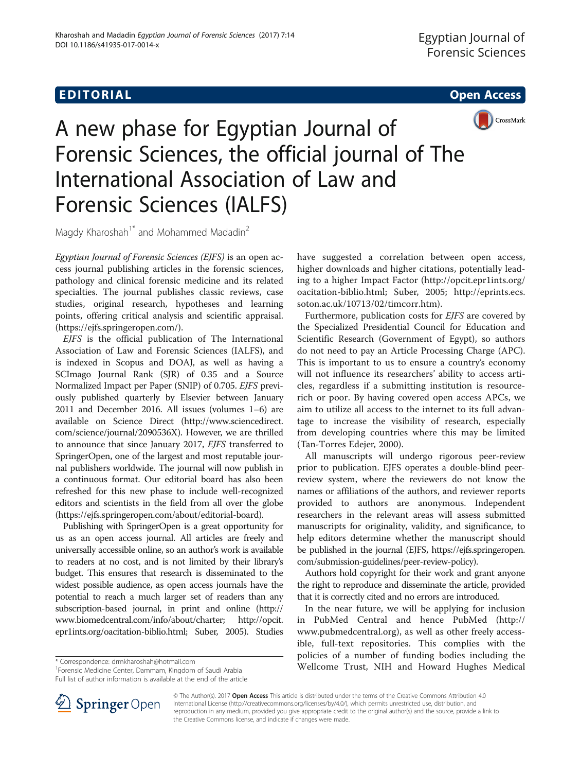# EDI TORIA L Open Access



A new phase for Egyptian Journal of Forensic Sciences, the official journal of The International Association of Law and Forensic Sciences (IALFS)

Magdy Kharoshah<sup>1\*</sup> and Mohammed Madadin<sup>2</sup>

Egyptian Journal of Forensic Sciences (EJFS) is an open access journal publishing articles in the forensic sciences, pathology and clinical forensic medicine and its related specialties. The journal publishes classic reviews, case studies, original research, hypotheses and learning points, offering critical analysis and scientific appraisal. ([https://ejfs.springeropen.com/\)](#page-1-0).

EJFS is the official publication of The International Association of Law and Forensic Sciences (IALFS), and is indexed in Scopus and DOAJ, as well as having a SCImago Journal Rank (SJR) of 0.35 and a Source Normalized Impact per Paper (SNIP) of 0.705. EJFS previously published quarterly by Elsevier between January 2011 and December 2016. All issues (volumes 1–6) are available on Science Direct ([http://www.sciencedirect.](http://www.sciencedirect.com/science/journal/2090536X) [com/science/journal/2090536X](http://www.sciencedirect.com/science/journal/2090536X)). However, we are thrilled to announce that since January 2017, EJFS transferred to SpringerOpen, one of the largest and most reputable journal publishers worldwide. The journal will now publish in a continuous format. Our editorial board has also been refreshed for this new phase to include well-recognized editors and scientists in the field from all over the globe ([https://ejfs.springeropen.com/about/editorial-board](#page-1-0)).

Publishing with SpringerOpen is a great opportunity for us as an open access journal. All articles are freely and universally accessible online, so an author's work is available to readers at no cost, and is not limited by their library's budget. This ensures that research is disseminated to the widest possible audience, as open access journals have the potential to reach a much larger set of readers than any subscription-based journal, in print and online ([http://](#page-1-0) [www.biomedcentral.com/info/about/charter; http://opcit.](#page-1-0) [epr1ints.org/oacitation-biblio.html](#page-1-0); Suber, [2005\)](#page-1-0). Studies

Forensic Medicine Center, Dammam, Kingdom of Saudi Arabia Full list of author information is available at the end of the article have suggested a correlation between open access, higher downloads and higher citations, potentially leading to a higher Impact Factor ([http://opcit.epr1ints.org/](#page-1-0) [oacitation-biblio.html;](#page-1-0) Suber, [2005](#page-1-0); [http://eprints.ecs.](#page-1-0) [soton.ac.uk/10713/02/timcorr.htm](#page-1-0)).

Furthermore, publication costs for EJFS are covered by the Specialized Presidential Council for Education and Scientific Research (Government of Egypt), so authors do not need to pay an Article Processing Charge (APC). This is important to us to ensure a country's economy will not influence its researchers' ability to access articles, regardless if a submitting institution is resourcerich or poor. By having covered open access APCs, we aim to utilize all access to the internet to its full advantage to increase the visibility of research, especially from developing countries where this may be limited (Tan-Torres Edejer, [2000](#page-1-0)).

All manuscripts will undergo rigorous peer-review prior to publication. EJFS operates a double-blind peerreview system, where the reviewers do not know the names or affiliations of the authors, and reviewer reports provided to authors are anonymous. Independent researchers in the relevant areas will assess submitted manuscripts for originality, validity, and significance, to help editors determine whether the manuscript should be published in the journal [\(EJFS](#page-1-0), [https://ejfs.springeropen.](https://ejfs.springeropen.com/submission-guidelines/peer-review-policy) [com/submission-guidelines/peer-review-policy](https://ejfs.springeropen.com/submission-guidelines/peer-review-policy)).

Authors hold copyright for their work and grant anyone the right to reproduce and disseminate the article, provided that it is correctly cited and no errors are introduced.

In the near future, we will be applying for inclusion in PubMed Central and hence PubMed ([http://](#page-1-0) [www.pubmedcentral.org](#page-1-0)), as well as other freely accessible, full-text repositories. This complies with the policies of a number of funding bodies including the \* Correspondence: [drmkharoshah@hotmail.com](mailto:drmkharoshah@hotmail.com) **1999 by 1999 and 1999 by 1999 and 1999 and 1999 and 1999 and 1999**<br><sup>1</sup> Forensic Medicine Center Dammam Kingdom of Saudi Arabia **1999 Wellcome Trust, NIH and Howard Hughes Medical** 



© The Author(s). 2017 Open Access This article is distributed under the terms of the Creative Commons Attribution 4.0 International License ([http://creativecommons.org/licenses/by/4.0/\)](http://creativecommons.org/licenses/by/4.0/), which permits unrestricted use, distribution, and reproduction in any medium, provided you give appropriate credit to the original author(s) and the source, provide a link to the Creative Commons license, and indicate if changes were made.